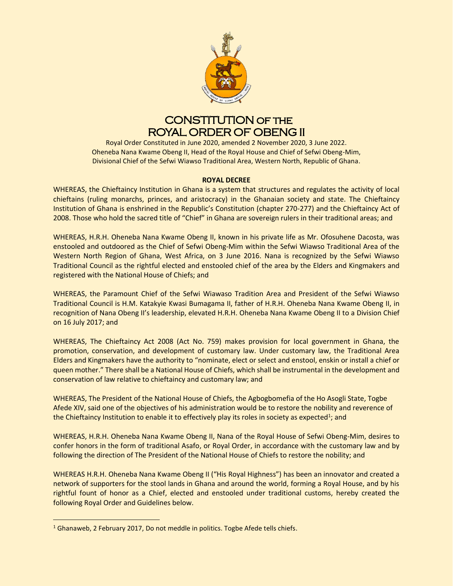

# CONSTITUTION of the ROYAL ORDER OF OBENG II

Royal Order Constituted in June 2020, amended 2 November 2020, 3 June 2022. Oheneba Nana Kwame Obeng II, Head of the Royal House and Chief of Sefwi Obeng-Mim, Divisional Chief of the Sefwi Wiawso Traditional Area, Western North, Republic of Ghana.

# **ROYAL DECREE**

WHEREAS, the Chieftaincy Institution in Ghana is a system that structures and regulates the activity of local chieftains (ruling monarchs, princes, and aristocracy) in the Ghanaian society and state. The Chieftaincy Institution of Ghana is enshrined in the Republic's Constitution (chapter 270-277) and the Chieftaincy Act of 2008. Those who hold the sacred title of "Chief" in Ghana are sovereign rulers in their traditional areas; and

WHEREAS, H.R.H. Oheneba Nana Kwame Obeng II, known in his private life as Mr. Ofosuhene Dacosta, was enstooled and outdoored as the Chief of Sefwi Obeng-Mim within the Sefwi Wiawso Traditional Area of the Western North Region of Ghana, West Africa, on 3 June 2016. Nana is recognized by the Sefwi Wiawso Traditional Council as the rightful elected and enstooled chief of the area by the Elders and Kingmakers and registered with the National House of Chiefs; and

WHEREAS, the Paramount Chief of the Sefwi Wiawaso Tradition Area and President of the Sefwi Wiawso Traditional Council is H.M. Katakyie Kwasi Bumagama II, father of H.R.H. Oheneba Nana Kwame Obeng II, in recognition of Nana Obeng II's leadership, elevated H.R.H. Oheneba Nana Kwame Obeng II to a Division Chief on 16 July 2017; and

WHEREAS, The Chieftaincy Act 2008 (Act No. 759) makes provision for local government in Ghana, the promotion, conservation, and development of customary law. Under customary law, the Traditional Area Elders and Kingmakers have the authority to "nominate, elect or select and enstool, enskin or install a chief or queen mother." There shall be a National House of Chiefs, which shall be instrumental in the development and conservation of law relative to chieftaincy and customary law; and

WHEREAS, The President of the National House of Chiefs, the Agbogbomefia of the Ho Asogli State, Togbe Afede XIV, said one of the objectives of his administration would be to restore the nobility and reverence of the Chieftaincy Institution to enable it to effectively play its roles in society as expected<sup>1</sup>; and

WHEREAS, H.R.H. Oheneba Nana Kwame Obeng II, Nana of the Royal House of Sefwi Obeng-Mim, desires to confer honors in the form of traditional Asafo, or Royal Order, in accordance with the customary law and by following the direction of The President of the National House of Chiefs to restore the nobility; and

WHEREAS H.R.H. Oheneba Nana Kwame Obeng II ("His Royal Highness") has been an innovator and created a network of supporters for the stool lands in Ghana and around the world, forming a Royal House, and by his rightful fount of honor as a Chief, elected and enstooled under traditional customs, hereby created the following Royal Order and Guidelines below.

<sup>&</sup>lt;sup>1</sup> Ghanaweb, 2 February 2017, Do not meddle in politics. Togbe Afede tells chiefs.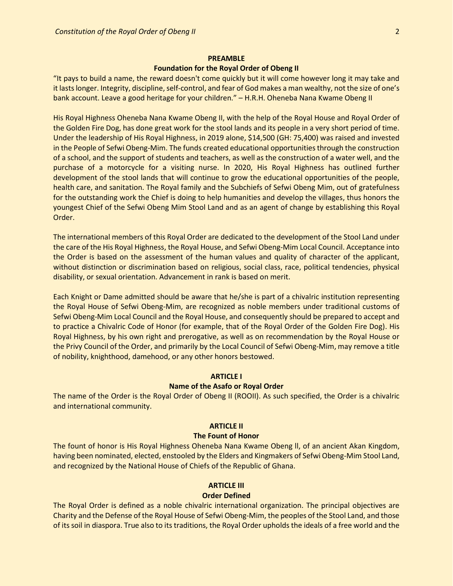# **PREAMBLE**

# **Foundation for the Royal Order of Obeng II**

"It pays to build a name, the reward doesn't come quickly but it will come however long it may take and it lasts longer. Integrity, discipline, self-control, and fear of God makes a man wealthy, not the size of one's bank account. Leave a good heritage for your children." – H.R.H. Oheneba Nana Kwame Obeng II

His Royal Highness Oheneba Nana Kwame Obeng II, with the help of the Royal House and Royal Order of the Golden Fire Dog, has done great work for the stool lands and its people in a very short period of time. Under the leadership of His Royal Highness, in 2019 alone, \$14,500 (GH: 75,400) was raised and invested in the People of Sefwi Obeng-Mim. The funds created educational opportunities through the construction of a school, and the support of students and teachers, as well as the construction of a water well, and the purchase of a motorcycle for a visiting nurse. In 2020, His Royal Highness has outlined further development of the stool lands that will continue to grow the educational opportunities of the people, health care, and sanitation. The Royal family and the Subchiefs of Sefwi Obeng Mim, out of gratefulness for the outstanding work the Chief is doing to help humanities and develop the villages, thus honors the youngest Chief of the Sefwi Obeng Mim Stool Land and as an agent of change by establishing this Royal Order.

The international members of this Royal Order are dedicated to the development of the Stool Land under the care of the His Royal Highness, the Royal House, and Sefwi Obeng-Mim Local Council. Acceptance into the Order is based on the assessment of the human values and quality of character of the applicant, without distinction or discrimination based on religious, social class, race, political tendencies, physical disability, or sexual orientation. Advancement in rank is based on merit.

Each Knight or Dame admitted should be aware that he/she is part of a chivalric institution representing the Royal House of Sefwi Obeng-Mim, are recognized as noble members under traditional customs of Sefwi Obeng-Mim Local Council and the Royal House, and consequently should be prepared to accept and to practice a Chivalric Code of Honor (for example, that of the Royal Order of the Golden Fire Dog). His Royal Highness, by his own right and prerogative, as well as on recommendation by the Royal House or the Privy Council of the Order, and primarily by the Local Council of Sefwi Obeng-Mim, may remove a title of nobility, knighthood, damehood, or any other honors bestowed.

# **ARTICLE I**

## **Name of the Asafo or Royal Order**

The name of the Order is the Royal Order of Obeng II (ROOII). As such specified, the Order is a chivalric and international community.

#### **ARTICLE II**

# **The Fount of Honor**

The fount of honor is His Royal Highness Oheneba Nana Kwame Obeng ll, of an ancient Akan Kingdom, having been nominated, elected, enstooled by the Elders and Kingmakers of Sefwi Obeng-Mim Stool Land, and recognized by the National House of Chiefs of the Republic of Ghana.

# **ARTICLE III**

## **Order Defined**

The Royal Order is defined as a noble chivalric international organization. The principal objectives are Charity and the Defense of the Royal House of Sefwi Obeng-Mim, the peoples of the Stool Land, and those of its soil in diaspora. True also to its traditions, the Royal Order upholds the ideals of a free world and the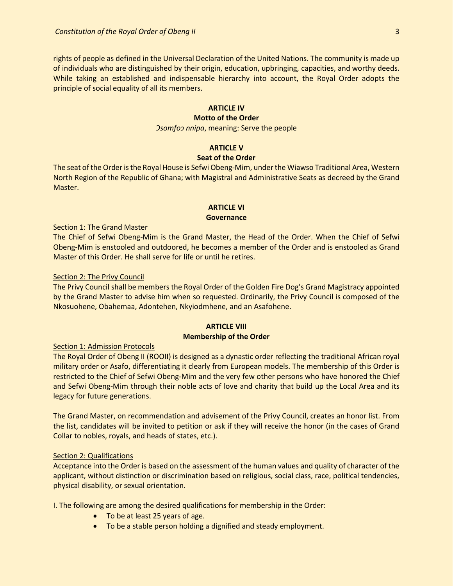rights of people as defined in the Universal Declaration of the United Nations. The community is made up of individuals who are distinguished by their origin, education, upbringing, capacities, and worthy deeds. While taking an established and indispensable hierarchy into account, the Royal Order adopts the principle of social equality of all its members.

### **ARTICLE IV**

# **Motto of the Order**

*Ɔsomfoɔ nnipa*, meaning: Serve the people

## **ARTICLE V**

# **Seat of the Order**

The seat of the Order is the Royal House is Sefwi Obeng-Mim, under the Wiawso Traditional Area, Western North Region of the Republic of Ghana; with Magistral and Administrative Seats as decreed by the Grand Master.

# **ARTICLE VI**

#### **Governance**

# Section 1: The Grand Master

The Chief of Sefwi Obeng-Mim is the Grand Master, the Head of the Order. When the Chief of Sefwi Obeng-Mim is enstooled and outdoored, he becomes a member of the Order and is enstooled as Grand Master of this Order. He shall serve for life or until he retires.

#### Section 2: The Privy Council

The Privy Council shall be members the Royal Order of the Golden Fire Dog's Grand Magistracy appointed by the Grand Master to advise him when so requested. Ordinarily, the Privy Council is composed of the Nkosuohene, Obahemaa, Adontehen, Nkyiodmhene, and an Asafohene.

# **ARTICLE VIII Membership of the Order**

# Section 1: Admission Protocols

The Royal Order of Obeng II (ROOII) is designed as a dynastic order reflecting the traditional African royal military order or Asafo, differentiating it clearly from European models. The membership of this Order is restricted to the Chief of Sefwi Obeng-Mim and the very few other persons who have honored the Chief and Sefwi Obeng-Mim through their noble acts of love and charity that build up the Local Area and its legacy for future generations.

The Grand Master, on recommendation and advisement of the Privy Council, creates an honor list. From the list, candidates will be invited to petition or ask if they will receive the honor (in the cases of Grand Collar to nobles, royals, and heads of states, etc.).

# Section 2: Qualifications

Acceptance into the Order is based on the assessment of the human values and quality of character of the applicant, without distinction or discrimination based on religious, social class, race, political tendencies, physical disability, or sexual orientation.

I. The following are among the desired qualifications for membership in the Order:

- To be at least 25 years of age.
- To be a stable person holding a dignified and steady employment.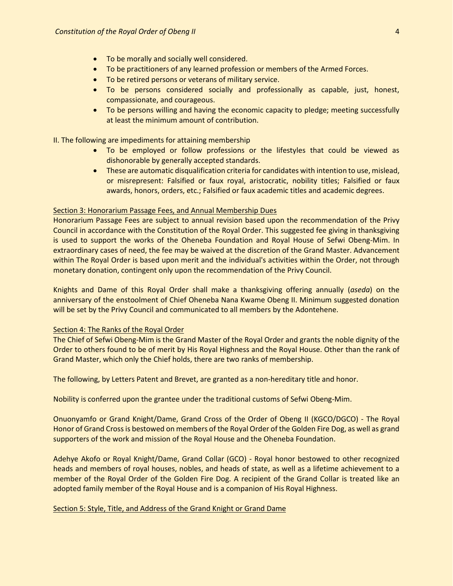- To be morally and socially well considered.
- To be practitioners of any learned profession or members of the Armed Forces.
- To be retired persons or veterans of military service.
- To be persons considered socially and professionally as capable, just, honest, compassionate, and courageous.
- To be persons willing and having the economic capacity to pledge; meeting successfully at least the minimum amount of contribution.

II. The following are impediments for attaining membership

- To be employed or follow professions or the lifestyles that could be viewed as dishonorable by generally accepted standards.
- These are automatic disqualification criteria for candidates with intention to use, mislead, or misrepresent: Falsified or faux royal, aristocratic, nobility titles; Falsified or faux awards, honors, orders, etc.; Falsified or faux academic titles and academic degrees.

#### Section 3: Honorarium Passage Fees, and Annual Membership Dues

Honorarium Passage Fees are subject to annual revision based upon the recommendation of the Privy Council in accordance with the Constitution of the Royal Order. This suggested fee giving in thanksgiving is used to support the works of the Oheneba Foundation and Royal House of Sefwi Obeng-Mim. In extraordinary cases of need, the fee may be waived at the discretion of the Grand Master. Advancement within The Royal Order is based upon merit and the individual's activities within the Order, not through monetary donation, contingent only upon the recommendation of the Privy Council.

Knights and Dame of this Royal Order shall make a thanksgiving offering annually (*aseda*) on the anniversary of the enstoolment of Chief Oheneba Nana Kwame Obeng II. Minimum suggested donation will be set by the Privy Council and communicated to all members by the Adontehene.

#### Section 4: The Ranks of the Royal Order

The Chief of Sefwi Obeng-Mim is the Grand Master of the Royal Order and grants the noble dignity of the Order to others found to be of merit by His Royal Highness and the Royal House. Other than the rank of Grand Master, which only the Chief holds, there are two ranks of membership.

The following, by Letters Patent and Brevet, are granted as a non-hereditary title and honor.

Nobility is conferred upon the grantee under the traditional customs of Sefwi Obeng-Mim.

Onuonyamfo or Grand Knight/Dame, Grand Cross of the Order of Obeng II (KGCO/DGCO) - The Royal Honor of Grand Cross is bestowed on members of the Royal Order of the Golden Fire Dog, as well as grand supporters of the work and mission of the Royal House and the Oheneba Foundation.

Adehye Akofo or Royal Knight/Dame, Grand Collar (GCO) - Royal honor bestowed to other recognized heads and members of royal houses, nobles, and heads of state, as well as a lifetime achievement to a member of the Royal Order of the Golden Fire Dog. A recipient of the Grand Collar is treated like an adopted family member of the Royal House and is a companion of His Royal Highness.

# Section 5: Style, Title, and Address of the Grand Knight or Grand Dame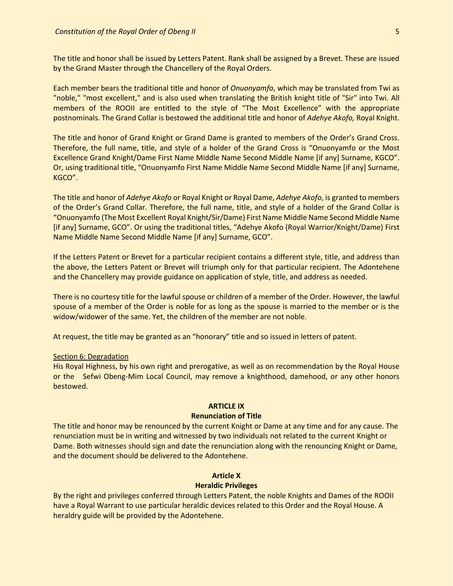The title and honor shall be issued by Letters Patent. Rank shall be assigned by a Brevet. These are issued by the Grand Master through the Chancellery of the Royal Orders.

Each member bears the traditional title and honor of *Onuonyamfo*, which may be translated from Twi as "noble," "most excellent," and is also used when translating the British knight title of "Sir" into Twi. All members of the ROOII are entitled to the style of "The Most Excellence" with the appropriate postnominals. The Grand Collar is bestowed the additional title and honor of *Adehye Akofo,* Royal Knight.

The title and honor of Grand Knight or Grand Dame is granted to members of the Order's Grand Cross. Therefore, the full name, title, and style of a holder of the Grand Cross is "Onuonyamfo or the Most Excellence Grand Knight/Dame First Name Middle Name Second Middle Name [if any] Surname, KGCO". Or, using traditional title, "Onuonyamfo First Name Middle Name Second Middle Name [if any] Surname, KGCO".

The title and honor of *Adehye Akofo* or Royal Knight or Royal Dame, *Adehye Akofo*, is granted to members of the Order's Grand Collar. Therefore, the full name, title, and style of a holder of the Grand Collar is "Onuonyamfo (The Most Excellent Royal Knight/Sir/Dame) First Name Middle Name Second Middle Name [if any] Surname, GCO". Or using the traditional titles, "Adehye Akofo (Royal Warrior/Knight/Dame) First Name Middle Name Second Middle Name [if any] Surname, GCO".

If the Letters Patent or Brevet for a particular recipient contains a different style, title, and address than the above, the Letters Patent or Brevet will triumph only for that particular recipient. The Adontehene and the Chancellery may provide guidance on application of style, title, and address as needed.

There is no courtesy title for the lawful spouse or children of a member of the Order. However, the lawful spouse of a member of the Order is noble for as long as the spouse is married to the member or is the widow/widower of the same. Yet, the children of the member are not noble.

At request, the title may be granted as an "honorary" title and so issued in letters of patent.

#### Section 6: Degradation

His Royal Highness, by his own right and prerogative, as well as on recommendation by the Royal House or the Sefwi Obeng-Mim Local Council, may remove a knighthood, damehood, or any other honors bestowed.

# **ARTICLE IX**

# **Renunciation of Title**

The title and honor may be renounced by the current Knight or Dame at any time and for any cause. The renunciation must be in writing and witnessed by two individuals not related to the current Knight or Dame. Both witnesses should sign and date the renunciation along with the renouncing Knight or Dame, and the document should be delivered to the Adontehene.

# **Article X**

## **Heraldic Privileges**

By the right and privileges conferred through Letters Patent, the noble Knights and Dames of the ROOII have a Royal Warrant to use particular heraldic devices related to this Order and the Royal House. A heraldry guide will be provided by the Adontehene.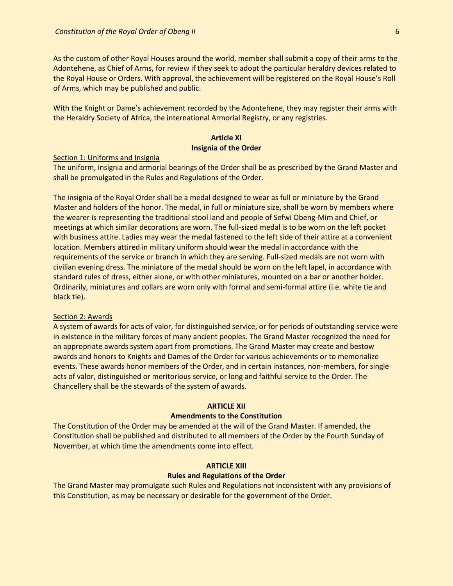As the custom of other Royal Houses around the world, member shall submit a copy of their arms to the Adontehene, as Chief of Arms, for review if they seek to adopt the particular heraldry devices related to the Royal House or Orders. With approval, the achievement will be registered on the Royal House's Roll of Arms, which may be published and public.

With the Knight or Dame's achievement recorded by the Adontehene, they may register their arms with the Heraldry Society of Africa, the international Armorial Registry, or any registries.

# **Article XI Insignia of the Order**

#### Section 1: Uniforms and Insignia

The uniform, insignia and armorial bearings of the Order shall be as prescribed by the Grand Master and shall be promulgated in the Rules and Regulations of the Order.

The insignia of the Royal Order shall be a medal designed to wear as full or miniature by the Grand Master and holders of the honor. The medal, in full or miniature size, shall be worn by members where the wearer is representing the traditional stool land and people of Sefwi Obeng-Mim and Chief, or meetings at which similar decorations are worn. The full-sized medal is to be worn on the left pocket with business attire. Ladies may wear the medal fastened to the left side of their attire at a convenient location. Members attired in military uniform should wear the medal in accordance with the requirements of the service or branch in which they are serving. Full-sized medals are not worn with civilian evening dress. The miniature of the medal should be worn on the left lapel, in accordance with standard rules of dress, either alone, or with other miniatures, mounted on a bar or another holder. Ordinarily, miniatures and collars are worn only with formal and semi-formal attire (i.e. white tie and black tie).

# Section 2: Awards

A system of awards for acts of valor, for distinguished service, or for periods of outstanding service were in existence in the military forces of many ancient peoples. The Grand Master recognized the need for an appropriate awards system apart from promotions. The Grand Master may create and bestow awards and honors to Knights and Dames of the Order for various achievements or to memorialize events. These awards honor members of the Order, and in certain instances, non-members, for single acts of valor, distinguished or meritorious service, or long and faithful service to the Order. The Chancellery shall be the stewards of the system of awards.

# **ARTICLE XII**

# **Amendments to the Constitution**

The Constitution of the Order may be amended at the will of the Grand Master. If amended, the Constitution shall be published and distributed to all members of the Order by the Fourth Sunday of November, at which time the amendments come into effect.

## **ARTICLE XIII**

# **Rules and Regulations of the Order**

The Grand Master may promulgate such Rules and Regulations not inconsistent with any provisions of this Constitution, as may be necessary or desirable for the government of the Order.